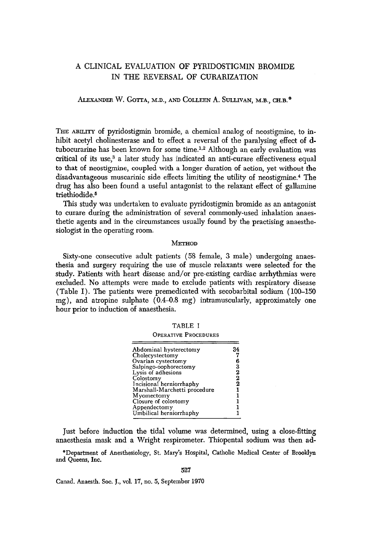# A CLINICAL EVALUATION OF PYRIDOSTIGMIN BROMIDE IN THE REVERSAL OF CURARIZATION

## ALEXANDER W. GOTTA, M.D., AND COLLEEN A. SULLIVAN, M.B., CH.B.<sup>6</sup>

THE ABILITY of pyridostigmin bromide, a chemical analog of neostigmine, to inhibit acetyl cholinesterase and to effect a reversal of the paralysing effect of dtubocurarine has been known for some time.<sup>1,2</sup> Although an early evaluation was critical of its use,<sup>3</sup> a later study has indicated an anti-curare effectiveness equal to that of neostigmine, coupled with a longer duration of action, yet without the disadvantageous muscarinic side effects limiting the utility of neostigmine.<sup>4</sup> The drug has also been found a useful antagonist to the relaxant effect of gallamine triethiodide.<sup>5</sup>

This study was undertaken to evaluate pyridostigmin bromide as an antagonist to curare during the administration of several commonly-used inhalation anaesthetic agents and in the circumstances usually found by the practising anaesthesiologist in the operating room.

#### METHOD

Sixty-one consecutive adult patients (58 female, 3 male) undergoing anaesthesia and surgery requiring the use of muscle relaxants were selected for the study. Patients with heart disease and/or pre-existing cardiac arrhythmias were excluded. No attempts were made to exclude patients with respiratory disease (Table I). The patients were premedicated with secobarbital sodium (100-150 mg), and atropine sulphate (0.4-0.8 mg) intramuscularly, approximately one hour prior to induction of anaesthesia.

| . . |  |
|-----|--|
|-----|--|

OPERATIVE PROCEDURES

| Abdominal hysterectomy       | 34                                                 |
|------------------------------|----------------------------------------------------|
| Cholecystectomy              |                                                    |
| Ovarian cystectomy           | 6                                                  |
| Salpingo-oophorectomy        |                                                    |
| Lysis of adhesions           | $\begin{smallmatrix} 3\ 2\ 2\ 2 \end{smallmatrix}$ |
| Colostomy                    |                                                    |
| Incisional herniorrhaphy     |                                                    |
| Marshall-Marchetti procedure |                                                    |
| Myomectomy                   |                                                    |
| Closure of colostomy         |                                                    |
| Appendectomy                 |                                                    |
| Umbilical herniorrhaphy      |                                                    |
|                              |                                                    |

Just before induction the tidal volume was determined, using a close-fitting anaesthesia mask and a Wright respirometer. Thiopental sodium was then ad-

\*Department of Anesthesiology, St. Mary's Hospital, Catholic Medical Center of Brooklyn and Queens, Inc.

527

Canad. Anaesth. Soc. J., vol. 17, no. 5, September 1970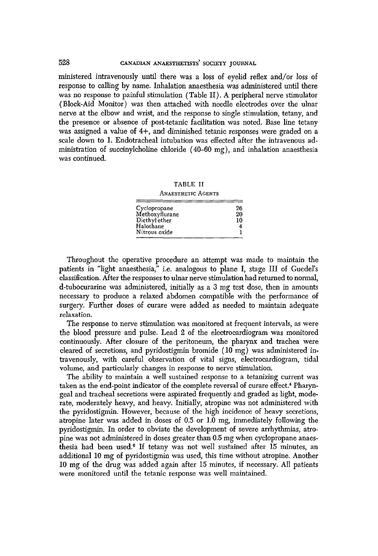## 528 CANADIAN ANAESTHETISTS' SOCIETY JOURNAL

ministered intravenously until there was a loss of eyelid reflex and/or loss of response to calling by name. Inhalation anaesthesia was administered until there was no response to painful stimulation (Table If). A peripheral nerve stimulator (Block-Aid Monitor) was then attached with needle electrodes over the ulnar nerve at the elbow and wrist, and the response to single stimulation, tetany, and the presence or absence of post-tetanic facilitation was noted. Base line tetany was assigned a value of 4+, and diminished *tetanic* responses were graded on a scale down to 1. Endotracheal intubation was effected after the intravenous administration of succinylcholine chloride (40-60 mg), and inhalation anaesthesia was continued.

TABLE II

#### ANAESTHETIC AGENTS

| Cyclopropane   | 26 |
|----------------|----|
| Methoxyflurane | 20 |
| Diethyl ether  | 10 |
| Halothane      |    |
| Nitrous oxide  |    |

Throughout the operative procedure an attempt was made to maintain the patients in "light anaesthesia," i.e. analogous to plane I, stage III of Guedel's classification. After the responses to ulnar nerve stimulation had returned to normal, d-tubocurarine was administered, initially as a 3 mg test dose, then in amounts necessary to produce a relaxed abdomen compatible with the performance of surgery. Further doses of curare were added as needed to maintain adequate relaxation.

The response to nerve stimulation was monitored at frequent intervals, as were the blood pressure and pulse. Lead 2 of the electrocardiogram was monitored continuously. After closure of the peritoneum, the pharynx and trachea were cleared of secretions, and pyridostigmin bromide  $(10 \text{ mg})$  was administered intravenously, with careful observation of vital signs, electrocardiogram, tidal volume, and particularly changes in response to nerve stimulation.

The ability to maintain a well sustained response to a tetanizing current was taken as the end-point indicator of the complete reversal of curare effect.<sup>4</sup> Pharyngeal and tracheal secretions were aspirated frequently and graded as light, moderate, moderately heavy, and heavy. Initially, atropine was not administered with the pyridostigmin. However, because of the high incidence of heavy secretions, atropine later was added in doses of 0.5 or 1.0 mg, immediately following the pyridostigmin. In order to obviate the development of severe arrhythmias, atropine was not administered in doses greater than 0.5 mg when cyclopropane anaesthesia had been used.<sup>6</sup> If tetany was not well sustained after 15 minutes, an additional 10 mg of pyridostigmin was used, this time without atropine. Another 10 mg of the drug was added again after 15 minutes, if necessary. All patients were monitored until the tetanic response was well maintained.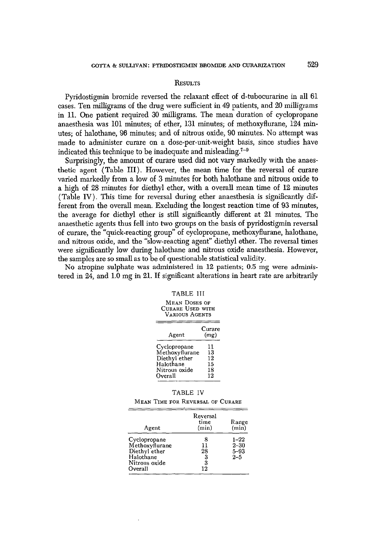#### RESULTS

Pyridostigmin bromide reversed the relaxant effect of d-tubocurarine in all 61 cases. Ten milligrams of the drug were sufficient in 49 patients, and 20 milligrams in 11. One patient required 30 milligrams. The mean duration of cyclopropane anaesthesia was 101 minutes; of ether, 131 minutes; of methoxyflurane, 124 minutes; of halothane, 96 minutes; and of nitrous oxide, 90 minutes. No attempt was made to administer curare on a dose-per-unit-weight basis, since studies have indicated this technique to be inadequate and misleading. 7-9

Surprisingly, the amount of curare used did not vary markedly with the anaesthetic agent (Table III). However, the mean time for the reversal of curare varied markedly from a low of 3 minutes for both halothane and nitrous oxide to a high of 28 minutes for diethyl ether, with a overall mean time of 12 minutes (Table IV). This time for reversal during ether anaesthesia is significantly different from the overall mean. Excluding the longest reaction time of 93 minutes, the average for diethyl ether is still significantly different at 21 minutes. The anaesthetic agents thus fell into two groups on the basis of pyridostigmin reversal of curare, the "quick-reacting group" of eyclopropane, methoxyflurane, halothane, and nitrous oxide, and the "slow-reacting agent" diethyl ether. The reversal times were significantly low during halothane and nitrous oxide anaesthesia. However, the samples are so small as to be of questionable statistical validity.

No atropine sulphate was administered in 12 patients; 0.5 mg were administered in 24, and 1.0 mg in 21. If significant alterations in heart rate are arbitrarily

#### TABLE III

MEAN DOSES OF CURARE USED WITH VARIOUS AGENTS

| Agent          | Curare<br>(mg) |
|----------------|----------------|
| Cvclopropane   | 11             |
| Methoxyflurane | 13             |
| Diethyl ether  | 12             |
| Halothane      | 15             |
| Nitrous oxide  | 18             |
| Overall        | 12             |

|  |  | TABLE - |  |  |
|--|--|---------|--|--|
|--|--|---------|--|--|

MEAN TIME FOR REVERSAL OF CURARE

| Agent          | Reversal<br>time<br>(min) | Range<br>(min) |
|----------------|---------------------------|----------------|
| Cyclopropane   | 8                         | $1 - 22$       |
| Methoxyflurane | 11                        | $2 - 30$       |
| Diethyl ether  | 28                        | $5 - 93$       |
| Halothane      |                           | $2 - 5$        |
| Nitrous oxide  | $\frac{3}{3}$             |                |
| Overall        | 12                        |                |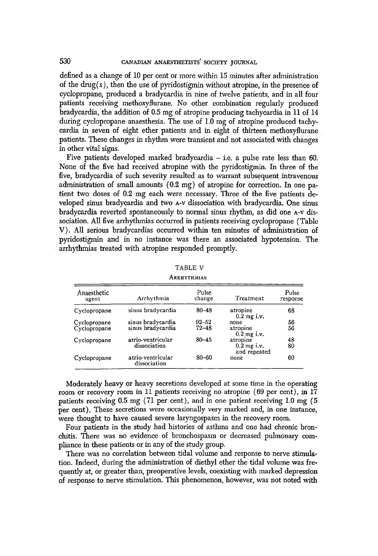defined as a change of 10 per cent or more within 15 minutes after administration of the drug(s), then the use of pyridostigmin without atropine, in the presence of eyclopropane, produced a bradycardia in nine of twelve patients, and in all four patients receiving methoxyflurane. No other combination regularly produced bradycardia, the addition of 0.5 mg of atropine producing tachycardia in 11 of 14 during cyclopropane anaesthesia. The use of 1.0 mg of atropine produced tachycardia in seven of eight ether patients and in eight of thirteen methoxyflurane patients. These changes in rhythm were transient and not associated with changes in other vital signs.

Five patients developed marked bradycardia  $-$  i.e. a pulse rate less than 60. None of the five had received atropine with the pyridostigmin. In three of the five, bradycardia of such severity resulted as to warrant subsequent intravenous administration of small amounts (0.2 mg) of atropine for correction. In one patient two doses of 0.2 mg each were necessary. Three of the five patients developed sinus bradyeardia and two a-v dissociation with bradycardia. One sinus bradycardia reverted spontaneously to normal sinus rhythm, as did one A-V dissoeiation. All five arrhythmias occurred in patients receiving cyclopropane (Table V). All serious bradycardias occurred within ten minutes of administration of pyridostigmin and in no instance was there an associated hypotension. The arrhythmias treated with atropine responded promptly.

| ARRAILEMHAS          |                                   |                 |                               |                   |  |
|----------------------|-----------------------------------|-----------------|-------------------------------|-------------------|--|
| Anaesthetic<br>agent | Arrhythmia                        | Pulse<br>change | Treatment                     | Pulse<br>response |  |
| Cyclopropane         | sinus bradycardia                 | $80 - 48$       | atropine<br>$0.2$ mg i.v.     | 68                |  |
| Cyclopropane         | sinus bradycardia                 | $92 - 52$       | none                          | 56                |  |
| Cyclopropane         | sinus bradycardia                 | $72 - 48$       | atropine<br>$0.2$ mg i.v.     | 56                |  |
| Cyclopropane         | atrio-ventricular                 | $80 - 45$       | atropine                      | 48                |  |
|                      | dissociation                      |                 | $0.2$ mg i.v.<br>and repeated | 80                |  |
| Cyclopropane         | atrio-ventricular<br>dissociation | $80 - 60$       | none                          | 60                |  |

TABLE V **A** PRIVTHMIAS

ţ,

Moderately heavy or heavy secretions developed at some time in the operating room or recovery room in 11 patients receiving no atropine (69 per cent), in 17 patients receiving 0.5 mg (71 per cent), and in one patient receiving 1.0 mg (5 per cent). These secretions were occasionally very marked and, in one instance, were thought to have caused severe laryngospasm in the recovery room.

Four patients in the study had histories of asthma and one had chronic bronchitis. There was no evidence of bronchospasm or decreased pulmonary compliance in these patients or in any of the study group.

There was no correlation between tidal volume and response to nerve stimulation. Indeed, during the administration of diethyl ether the tidal volume was frequently at, or greater than, preoperative levels, coexisting with marked depression of response to nerve stimulation. This phenomenon, however, was not noted with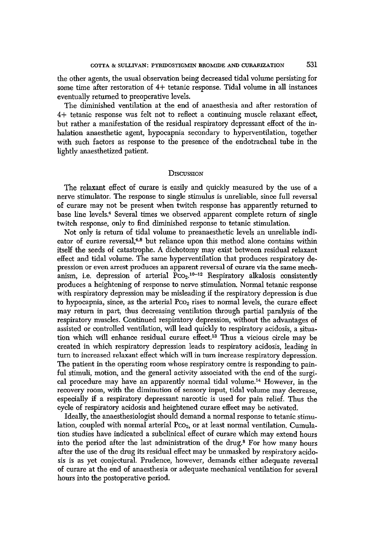the other agents, the usual observation being decreased tidal volume persisting for some time after restoration of 4+ tetanic response. Tidal volume in all instances eventually returned to preoperative levels.

The diminished ventilation at the end of anaesthesia and after restoration of 4+ tetanic response was felt not to reflect a continuing muscle relaxant effect, but rather a manifestation of the residual respiratory depressant effect of the inhalation anaesthetic agent, hypocapnia secondary to hyperventilation, together with such factors as response to the presence of the endotracheal tube in the lightly anaesthetized patient.

### **DISCUSSION**

The relaxant effect of curare is easily and quickly measured by the use of a nerve stimulator. The response to single stimulus is unreliable, since full reversal of curare may not be present when twitch response has apparently returned to base line levels.<sup>4</sup> Several times we observed apparent complete return of single twitch response, only to find diminished response to tetanic stimulation.

Not only is return of tidal volume to preanaesthetic levels an unreliable indicator of curare reversal,<sup>4,8</sup> but reliance upon this method alone contains within itself the seeds of catastrophe. A dichotomy may exist between residual relaxant effect and tidal volume. The same hyperventilation that produces respiratory depression or even arrest produces an apparent reversal of curare via the same mechanism, i.e. depression of arterial  $\overline{P_{CO_2}}^{10-12}$  Respiratory alkalosis consistently produces a heightening of response to nerve stimulation. Normal tetanic response with respiratory depression may be misleading if the respiratory depression is due to hypocapnia, since, as the arterial  $P_{\text{CO}_2}$  rises to normal levels, the curare effect may return in part, thus decreasing ventilation through partial paralysis of the respiratory muscles. Continued respiratory depression, without the advantages of assisted or controlled ventilation, will lead quickly to respiratory acidosis, a situation which will enhance residual curare effect.<sup>13</sup> Thus a vicious circle may be created in which respiratory depression leads to respiratory acidosis, leading in turn to increased relaxant effect which will in turn increase respiratory depression. The patient in the operating room whose respiratory centre is responding to painful stimuli, motion, and the general activity associated with the end of the surgical procedure may have an apparently normal tidal volume. 14 However, in the recovery room, with the diminution of sensory input, tidal volume may decrease, especially ff a respiratory depressant narcotic is used for pain relief. Thus the cycle of respiratory acidosis and heightened curare effect may be activated.

Ideally, the anaesthesiologist should demand a normal response to tetanic stimulation, coupled with normal arterial  $P_{\text{CO}_2}$ , or at least normal ventilation. Cumulation studies have indicated a subclinical effect of curare which may extend hours into the period after the last administration of the drug.<sup>8</sup> For how many hours after the use of the drug its residual effect may be unmasked by respiratory acidosis is as yet conjectural. Prudence, however, demands either adequate reversal of curare at the end of anaesthesia or adequate mechanical ventilation for several hours into the postoperative period.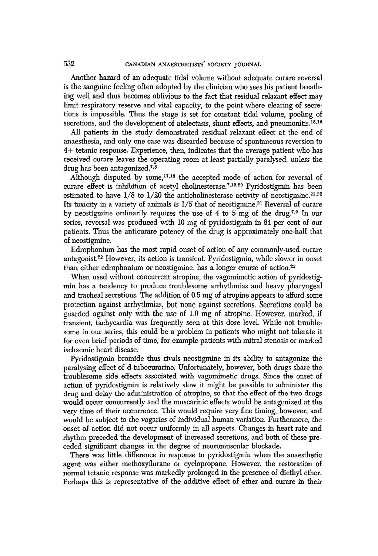Another hazard of an adequate tidal volume without adequate curare reversal is the sanguine feeling often adopted by the clinician who sees his patient breathing well and thus becomes oblivious to the fact that residual relaxant effect may limit respiratory reserve and vital capacity, to the point where clearing of secretions is impossible. Thus the stage is set for constant tidal volume, pooling of secretions, and the development of atelectasis, shunt effects, and pneumonitis.<sup>15,16</sup>

All patients in the study demonstrated residual relaxant effect at the end of anaesthesia, and only one case was discarded because of spontaneous reversion to 4+ tetanic response. Experience, then, indicates that the average patient who has received curare leaves the operating room at least partially paralysed, *unless the*  drug has been antagonized.<sup> $7,8$ </sup>

Although disputed by some, $17,18$  the accepted mode of action for reversal of curare effect is inhibition of acetyl cholinesterase.<sup> $7,19,20$ </sup> Pyridostigmin has been estimated to have  $1/8$  to  $1/20$  the anticholinesterase activity of neostigmine.<sup>21,22</sup> Its toxicity in a variety of animals is  $1/5$  that of neostigmine.<sup>21</sup> Reversal of curare by neostigmine ordinarily requires the use of 4 to 5 mg of the drug.<sup> $7,9$ </sup> In our series, reversal was produced with 10 mg of pyridostigmin in 84 per cent of our patients. Thus the anticurare potency of the drug is approximately one-half that of neostigmine.

Edrophonium has the most rapid onset of action of any commonly-used curare antagonist. 22 However, its action is transient. Pyridostigmin, while slower in onset than either edrophonium or neostigmine, has a longer course of action.<sup>22</sup>

When used without concurrent atropine, the vagomimetic action of pyridostigmin has a tendency to produce troublesome arrhythmias and heavy pharyngeal and tracheal secretions. The addition of 0.5 mg of atropine appears to afford some protection against arrhythmias, but none against secretions. Secretions could be guarded against only with the use of 1.0 mg of atropine. However, marked, if transient, tachyeardia was frequently seen at this dose level. While not troublesome in our series, this could be a problem in patients who might not tolerate it for even brief periods of time, for example patients with mitral stenosis or marked ischaemic heart disease.

Pyridostigmin bromide thus rivals neostigmine in its ability to antagonize the paralysing effect of d-tuboeurarine. Unfortunately, however, both drugs share the troublesome side effects associated with vagomimetlc drugs. Since the onset of action of pyridostigrnin is relatively slow it might be possible to administer the drug and delay the administration of atropine, so that the effect of the two drugs would occur concurrently and the muscarinic effects would be antagonized at the very time of their occurrence. This would require very fine timing, however, and would be subject to the *vagaries* of individual human variation. Furthermore, the onset of action did not occur uniformly in all aspects. Changes in heart rate and rhythm preceded the development of increased secretions, and both of these preceded significant changes in the degree of neuromuscular blockade.

There was little difference in response to pyridostigmin when the anaesthetic agent was either methoxyflurane or cyclopropane. However, the restoration of normal tetanic response was markedly prolonged in the presence of diethyl ether. Perhaps this is representative of the additive effect of ether and curare in their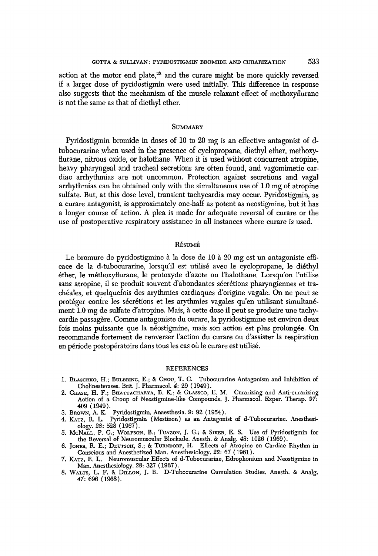action at the motor end plate, $2^3$  and the curare might be more quickly reversed ff a larger dose of pyridostigmin were used initially. This difference in response also suggests that the mechanism of the muscle relaxant effect of methoxyflurane is not the same as that of diethyl ether.

### **SUMMARY**

Pyridostigmin bromide in doses of 10 to 20 mg is an effective antagonist of dtuboeurarine when used in the presence of cyelopropane, diethyl ether, methoxyflurane, nitrous oxide, or halothane. When it is used without concurrent atropine, heavy pharyngeal and tracheal secretions are often found, and vagomimetic cardiac arrhythmias are not uncommon. Protection against secretions and vagal arrhythmias can be obtained only with the simultaneous use of 1.0 mg of atropine sulfate. But, at this dose level, transient tachycardia may occur. Pyridostigmin, as a curare antagonist, is approximately one-half as potent as neostigmine, but it has a longer course of action. A plea is made for adequate reversal of curare or the use of postoperative respiratory assistance in all instances where curare is used.

#### RÉSUMÉ

Le bromure de pyridostigmine à la dose de 10 à 20 mg est un antagoniste efficace de la d-tubocurarine, lorsqu'il est utilisé avec le cyclopropane, le diéthyl 6ther, le m6thoxyflurane, le protoxyde d'azote ou l'halothane. Lorsqu'on l'utilise sans atropine, il se produit souvent d'abondantes sécrétions pharyngiennes et traeh6ales, et quelquefois des arythmies cardiaques d'origine vagale. On ne peut se protéger contre les sécrétions et les arythmies vagales qu'en utilisant simultanément 1.0 mg de sulfate d'atropine. Mais, à cette dose il peut se produire une tachycardie passagère. Comme antagoniste du curare, la pyridostigmine est environ deux fois moins puissante que la néostigmine, mais son action est plus prolongée. On recommande fortement de renverser l'aetion du curare ou d'assister la respiration en période postopératoire dans tous les cas où le curare est utilisé.

#### REFERENCES

- i. BLASCHKO, H.; BULBRING, E.; & CHOU, T.C. Tubocurarine Antagonism and Inhibition of Cholinesterases. Brit. J. Pharmacol. 4:29 (1949). 2. CHASE, H. F.; BHATTACHABYA, B. K.; & GLASSCO, E.M. Curarizing and Anti-curarizing
- Action of a Group of Neostigmine-like Compounds. J. Pharmaeol. Exper. Therap. *97:*  409 (1949).
- 3. BnowN, A.K. Pyridostigmin. Anaesthesia. 9:92 (1954).
- 4. KATZ, R. L. Pyridostigmin (Mestinon) as an Antagonist of d-Tubocurarine. Anesthesiology. *28:528* (1967).
- 5. McNALL, P. G.; WOLFSON, B.; TUAZON, J. G.; & SIKER, E. S. Use of Pyridostigmin for the Reversal of Neuromuscular Blockade. Anesth. & Analg. *48:1026* (1969).
- 6. JONES, R. E.; DEUTSCH, S.; & TURNDORF, H. Effects of Atropine on Cardiac Rhythm in Conscious and Anesthetized Man. Anesthesiology. *22:67* (1961).
- 7. KArz, R.L. Neuromuscular Effects of d-Tubocurarine, Edrophonium and Neostigmine in Man. Anesthesiology. *28:327* (1967).
- 8. WALTS, L. F. & DILLON, J. B. D-Tuboeurarine Cumulation Studies. Anesth. & Analg. *47:696* (1968).